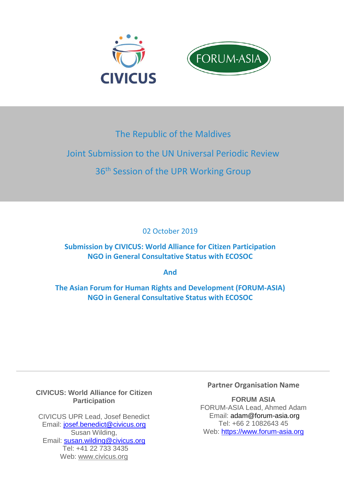

## The Republic of the Maldives

# Joint Submission to the UN Universal Periodic Review

## 36<sup>th</sup> Session of the UPR Working Group

02 October 2019

## **Submission by CIVICUS: World Alliance for Citizen Participation NGO in General Consultative Status with ECOSOC**

**And** 

**The Asian Forum for Human Rights and Development (FORUM-ASIA) NGO in General Consultative Status with ECOSOC** 

#### **CIVICUS: World Alliance for Citizen Participation**

CIVICUS UPR Lead, Josef Benedict Email: [josef.benedict@civicus.org](mailto:josef.benedict@civicus.org) Susan Wilding, Email: [susan.wilding@civicus.org](mailto:susan.wilding@civicus.org) Tel: +41 22 733 3435 Web: [www.civicus.org](http://www.civicus.org/)

### **Partner Organisation Name**

**FORUM ASIA** FORUM-ASIA Lead, Ahmed Adam Email: adam@forum-asia.org Tel: +66 2 1082643 45 Web: https://www.forum-asia.org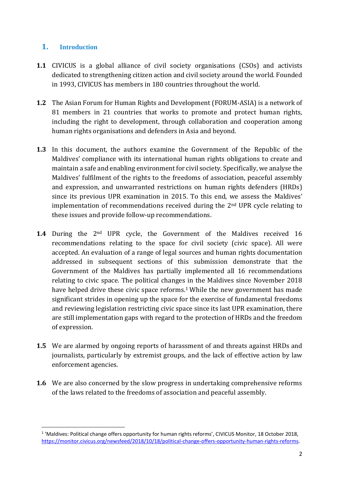#### **1. Introduction**

- **1.1** CIVICUS is a global alliance of civil society organisations (CSOs) and activists dedicated to strengthening citizen action and civil society around the world. Founded in 1993, CIVICUS has members in 180 countries throughout the world.
- **1.2** The Asian Forum for Human Rights and Development (FORUM-ASIA) is a network of 81 members in 21 countries that works to promote and protect human rights, including the right to development, through collaboration and cooperation among human rights organisations and defenders in Asia and beyond.
- **1.3** In this document, the authors examine the Government of the Republic of the Maldives' compliance with its international human rights obligations to create and maintain a safe and enabling environment for civil society. Specifically, we analyse the Maldives' fulfilment of the rights to the freedoms of association, peaceful assembly and expression, and unwarranted restrictions on human rights defenders (HRDs) since its previous UPR examination in 2015. To this end, we assess the Maldives' implementation of recommendations received during the 2nd UPR cycle relating to these issues and provide follow-up recommendations.
- **1.4** During the 2<sup>nd</sup> UPR cycle, the Government of the Maldives received 16 recommendations relating to the space for civil society (civic space). All were accepted. An evaluation of a range of legal sources and human rights documentation addressed in subsequent sections of this submission demonstrate that the Government of the Maldives has partially implemented all 16 recommendations relating to civic space. The political changes in the Maldives since November 2018 have helped drive these civic space reforms.<sup>1</sup> While the new government has made significant strides in opening up the space for the exercise of fundamental freedoms and reviewing legislation restricting civic space since its last UPR examination, there are still implementation gaps with regard to the protection of HRDs and the freedom of expression.
- **1.5** We are alarmed by ongoing reports of harassment of and threats against HRDs and journalists, particularly by extremist groups, and the lack of effective action by law enforcement agencies.
- **1.6** We are also concerned by the slow progress in undertaking comprehensive reforms of the laws related to the freedoms of association and peaceful assembly.

 $\overline{a}$ <sup>1</sup> 'Maldives: Political change offers opportunity for human rights reforms', CIVICUS Monitor, 18 October 2018, [https://monitor.civicus.org/newsfeed/2018/10/18/political-change-offers-opportunity-human-rights-reforms.](https://monitor.civicus.org/newsfeed/2018/10/18/political-change-offers-opportunity-human-rights-reforms/)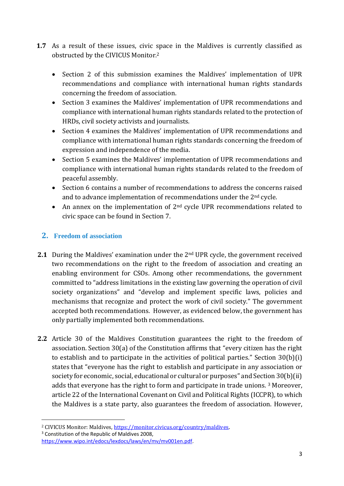- **1.7** As a result of these issues, civic space in the Maldives is currently classified as obstructed by the CIVICUS Monitor.<sup>2</sup>
	- Section 2 of this submission examines the Maldives' implementation of UPR recommendations and compliance with international human rights standards concerning the freedom of association.
	- Section 3 examines the Maldives' implementation of UPR recommendations and compliance with international human rights standards related to the protection of HRDs, civil society activists and journalists.
	- Section 4 examines the Maldives' implementation of UPR recommendations and compliance with international human rights standards concerning the freedom of expression and independence of the media.
	- Section 5 examines the Maldives' implementation of UPR recommendations and compliance with international human rights standards related to the freedom of peaceful assembly.
	- Section 6 contains a number of recommendations to address the concerns raised and to advance implementation of recommendations under the 2nd cycle.
	- An annex on the implementation of 2<sup>nd</sup> cycle UPR recommendations related to civic space can be found in Section 7.

### **2. Freedom of association**

- **2.1** During the Maldives' examination under the 2<sup>nd</sup> UPR cycle, the government received two recommendations on the right to the freedom of association and creating an enabling environment for CSOs. Among other recommendations, the government committed to "address limitations in the existing law governing the operation of civil society organizations" and "develop and implement specific laws, policies and mechanisms that recognize and protect the work of civil society." The government accepted both recommendations. However, as evidenced below, the government has only partially implemented both recommendations.
- **2.2** Article 30 of the Maldives Constitution guarantees the right to the freedom of association. Section 30(a) of the Constitution affirms that "every citizen has the right to establish and to participate in the activities of political parties." Section 30(b)(i) states that "everyone has the right to establish and participate in any association or society for economic, social, educational or cultural or purposes" and Section 30(b)(ii) adds that everyone has the right to form and participate in trade unions. <sup>3</sup> Moreover, article 22 of the International Covenant on Civil and Political Rights (ICCPR), to which the Maldives is a state party, also guarantees the freedom of association. However,

<sup>2</sup> CIVICUS Monitor: Maldives,<https://monitor.civicus.org/country/maldives>.

<sup>&</sup>lt;sup>3</sup> Constitution of the Republic of Maldives 2008.

[https://www.wipo.int/edocs/lexdocs/laws/en/mv/mv001en.pdf.](https://www.wipo.int/edocs/lexdocs/laws/en/mv/mv001en.pdf)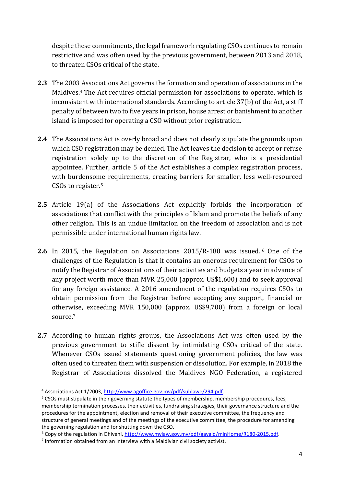despite these commitments, the legal framework regulating CSOs continues to remain restrictive and was often used by the previous government, between 2013 and 2018, to threaten CSOs critical of the state.

- **2.3** The 2003 Associations Act governs the formation and operation of associations in the Maldives.<sup>4</sup> The Act requires official permission for associations to operate, which is inconsistent with international standards. According to article 37(b) of the Act, a stiff penalty of between two to five years in prison, house arrest or banishment to another island is imposed for operating a CSO without prior registration.
- **2.4** The Associations Act is overly broad and does not clearly stipulate the grounds upon which CSO registration may be denied. The Act leaves the decision to accept or refuse registration solely up to the discretion of the Registrar, who is a presidential appointee. Further, article 5 of the Act establishes a complex registration process, with burdensome requirements, creating barriers for smaller, less well-resourced CSOs to register.<sup>5</sup>
- **2.5** Article 19(a) of the Associations Act explicitly forbids the incorporation of associations that conflict with the principles of Islam and promote the beliefs of any other religion. This is an undue limitation on the freedom of association and is not permissible under international human rights law.
- 2.6 In 2015, the Regulation on Associations 2015/R-180 was issued.<sup>6</sup> One of the challenges of the Regulation is that it contains an onerous requirement for CSOs to notify the Registrar of Associations of their activities and budgets a year in advance of any project worth more than MVR 25,000 (approx. US\$1,600) and to seek approval for any foreign assistance. A 2016 amendment of the regulation requires CSOs to obtain permission from the Registrar before accepting any support, financial or otherwise, exceeding MVR 150,000 (approx. US\$9,700) from a foreign or local source.<sup>7</sup>
- **2.7** According to human rights groups, the Associations Act was often used by the previous government to stifle dissent by intimidating CSOs critical of the state. Whenever CSOs issued statements questioning government policies, the law was often used to threaten them with suspension or dissolution. For example, in 2018 the Registrar of Associations dissolved the Maldives NGO Federation, a registered

<sup>4</sup> Associations Act 1/2003[, http://www.agoffice.gov.mv/pdf/sublawe/294.pdf.](http://www.agoffice.gov.mv/pdf/sublawe/294.pdf)

 $5$  CSOs must stipulate in their governing statute the types of membership, membership procedures, fees, membership termination processes, their activities, fundraising strategies, their governance structure and the procedures for the appointment, election and removal of their executive committee, the frequency and structure of general meetings and of the meetings of the executive committee, the procedure for amending the governing regulation and for shutting down the CSO.

 $6$  Copy of the regulation in Dhivehi, [http://www.mvlaw.gov.mv/pdf/gavaid/minHome/R180-2015.pdf.](http://www.mvlaw.gov.mv/pdf/gavaid/minHome/R180-2015.pdf)

 $<sup>7</sup>$  Information obtained from an interview with a Maldivian civil society activist.</sup>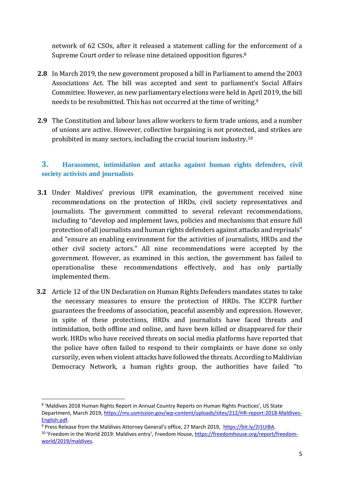network of 62 CSOs, after it released a statement calling for the enforcement of a Supreme Court order to release nine detained opposition figures.<sup>8</sup>

- **2.8** In March 2019, the new government proposed a bill in Parliament to amend the 2003 Associations Act. The bill was accepted and sent to parliament's Social Affairs Committee. However, as new parliamentary elections were held in April 2019, the bill needs to be resubmitted. This has not occurred at the time of writing.<sup>9</sup>
- **2.9** The Constitution and labour laws allow workers to form trade unions, and a number of unions are active. However, collective bargaining is not protected, and strikes are prohibited in many sectors, including the crucial tourism industry.<sup>10</sup>

#### **3. Harassment, intimidation and attacks against human rights defenders, civil society activists and journalists**

- **3.1** Under Maldives' previous UPR examination, the government received nine recommendations on the protection of HRDs, civil society representatives and journalists. The government committed to several relevant recommendations, including to "develop and implement laws, policies and mechanisms that ensure full protection of all journalists and human rights defenders against attacks and reprisals" and "ensure an enabling environment for the activities of journalists, HRDs and the other civil society actors." All nine recommendations were accepted by the government. However, as examined in this section, the government has failed to operationalise these recommendations effectively, and has only partially implemented them.
- **3.2** Article 12 of the UN Declaration on Human Rights Defenders mandates states to take the necessary measures to ensure the protection of HRDs. The ICCPR further guarantees the freedoms of association, peaceful assembly and expression. However, in spite of these protections, HRDs and journalists have faced threats and intimidation, both offline and online, and have been killed or disappeared for their work. HRDs who have received threats on social media platforms have reported that the police have often failed to respond to their complaints or have done so only cursorily, even when violent attacks have followed the threats. According to Maldivian Democracy Network, a human rights group, the authorities have failed "to

**.** 

<sup>&</sup>lt;sup>8</sup> 'Maldives 2018 Human Rights Report in Annual Country Reports on Human Rights Practices', US State Department, March 2019, [https://mv.usmission.gov/wp-content/uploads/sites/212/HR-report-2018-Maldives-](https://mv.usmission.gov/wp-content/uploads/sites/212/HR-report-2018-Maldives-English.pdf)[English.pdf.](https://mv.usmission.gov/wp-content/uploads/sites/212/HR-report-2018-Maldives-English.pdf)

<sup>9</sup> Press Release from the Maldives Attorney General's office, 27 March 2019, [https://bit.ly/2I1UIBA.](https://bit.ly/2I1UIBA)

<sup>10</sup> 'Freedom in the World 2019: Maldives entry', Freedom House, [https://freedomhouse.org/report/freedom](https://freedomhouse.org/report/freedom-world/2019/maldives)[world/2019/maldives.](https://freedomhouse.org/report/freedom-world/2019/maldives)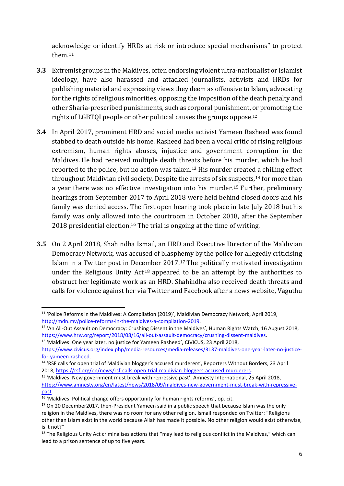acknowledge or identify HRDs at risk or introduce special mechanisms" to protect them.<sup>11</sup>

- **3.3** Extremist groups in the Maldives, often endorsing violent ultra-nationalist or Islamist ideology, have also harassed and attacked journalists, activists and HRDs for publishing material and expressing views they deem as offensive to Islam, advocating for the rights of religious minorities, opposing the imposition of the death penalty and other Sharia-prescribed punishments, such as corporal punishment, or promoting the rights of LGBTQI people or other political causes the groups oppose.<sup>12</sup>
- **3.4** In April 2017, prominent HRD and social media activist Yameen Rasheed was found stabbed to death outside his home. Rasheed had been a vocal critic of rising religious extremism, human rights abuses, injustice and government corruption in the Maldives. He had received multiple death threats before his murder, which he had reported to the police, but no action was taken. <sup>13</sup> His murder created a chilling effect throughout Maldivian civil society. Despite the arrests of six suspects, <sup>14</sup> for more than a year there was no effective investigation into his murder.<sup>15</sup> Further, preliminary hearings from September 2017 to April 2018 were held behind closed doors and his family was denied access. The first open hearing took place in late July 2018 but his family was only allowed into the courtroom in October 2018, after the September 2018 presidential election.<sup>16</sup> The trial is ongoing at the time of writing.
- **3.5** On 2 April 2018, Shahindha Ismail, an HRD and Executive Director of the Maldivian Democracy Network, was accused of blasphemy by the police for allegedly criticising Islam in a Twitter post in December 2017.<sup>17</sup> The politically motivated investigation under the Religious Unity Act<sup>18</sup> appeared to be an attempt by the authorities to obstruct her legitimate work as an HRD. Shahindha also received death threats and calls for violence against her via Twitter and Facebook after a news website, Vaguthu

**<sup>.</sup>** <sup>11</sup> 'Police Reforms in the Maldives: A Compilation (2019)', Maldivian Democracy Network, April 2019, [http://mdn.mv/police-reforms-in-the-maldives-a-compilation-2019.](http://mdn.mv/police-reforms-in-the-maldives-a-compilation-2019/)

<sup>&</sup>lt;sup>12</sup> 'An All-Out Assault on Democracy: Crushing Dissent in the Maldives', Human Rights Watch, 16 August 2018, [https://www.hrw.org/report/2018/08/16/all-out-assault-democracy/crushing-dissent-maldives.](https://www.hrw.org/report/2018/08/16/all-out-assault-democracy/crushing-dissent-maldives)

<sup>13</sup> 'Maldives: One year later, no justice for Yameen Rasheed', CIVICUS, 23 April 2018, [https://www.civicus.org/index.php/media-resources/media-releases/3137-maldives-one-year-later-no-justice](https://www.civicus.org/index.php/media-resources/media-releases/3137-maldives-one-year-later-no-justice-for-yameen-rasheed)[for-yameen-rasheed.](https://www.civicus.org/index.php/media-resources/media-releases/3137-maldives-one-year-later-no-justice-for-yameen-rasheed)

<sup>14</sup> 'RSF calls for open trial of Maldivian blogger's accused murderers', Reporters Without Borders, 23 April 2018, [https://rsf.org/en/news/rsf-calls-open-trial-maldivian-bloggers-accused-murderers.](https://rsf.org/en/news/rsf-calls-open-trial-maldivian-bloggers-accused-murderers)

<sup>15</sup> 'Maldives: New government must break with repressive past', Amnesty International, 25 April 2018, [https://www.amnesty.org/en/latest/news/2018/09/maldives-new-government-must-break-with-repressive](https://www.amnesty.org/en/latest/news/2018/09/maldives-new-government-must-break-with-repressive-past/)[past.](https://www.amnesty.org/en/latest/news/2018/09/maldives-new-government-must-break-with-repressive-past/)

<sup>&</sup>lt;sup>16</sup> 'Maldives: Political change offers opportunity for human rights reforms', op. cit.

 $17$  On 20 December 2017, then-President Yameen said in a public speech that because Islam was the only religion in the Maldives, there was no room for any other religion. Ismail responded on Twitter: "Religions other than Islam exist in the world because Allah has made it possible. No other religion would exist otherwise, is it not?"

<sup>&</sup>lt;sup>18</sup> The Religious Unity Act criminalises actions that "may lead to religious conflict in the Maldives," which can lead to a prison sentence of up to five years.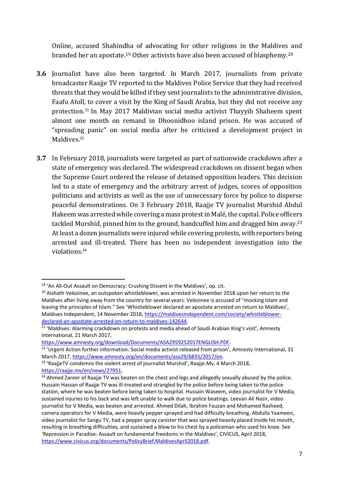Online, accused Shahindha of advocating for other religions in the Maldives and branded her an apostate.<sup>19</sup> Other activists have also been accused of blasphemy.<sup>20</sup>

- **3.6** Journalist have also been targeted. In March 2017, journalists from private broadcaster Raajje TV reported to the Maldives Police Service that they had received threats that they would be killed if they sent journalists to the administrative division, Faafu Atoll, to cover a visit by the King of Saudi Arabia, but they did not receive any protection. <sup>21</sup> In May 2017 Maldivian social media activist Thayyib Shaheem spent almost one month on remand in Dhoonidhoo island prison. He was accused of "spreading panic" on social media after he criticised a development project in Maldives.<sup>22</sup>
- **3.7** In February 2018, journalists were targeted as part of nationwide crackdown after a state of emergency was declared. The widespread crackdown on dissent began when the Supreme Court ordered the release of detained opposition leaders. This decision led to a state of emergency and the arbitrary arrest of judges, scores of opposition politicians and activists as well as the use of unnecessary force by police to disperse peaceful demonstrations. On 3 February 2018, Raajje TV journalist Murshid Abdul Hakeem was arrested while covering a mass protest in Malé, the capital. Police officers tackled Murshid, pinned him to the ground, handcuffed him and dragged him away.<sup>23</sup> At least a dozen journalists were injured while covering protests, with reporters being arrested and ill-treated. There has been no independent investigation into the violations.<sup>24</sup>

**.** 

[https://www.amnesty.org/download/Documents/ASA2959252017ENGLISH.PDF.](https://www.amnesty.org/download/Documents/ASA2959252017ENGLISH.PDF)

<sup>&</sup>lt;sup>19</sup> 'An All-Out Assault on Democracy: Crushing Dissent in the Maldives', op. cit.

<sup>&</sup>lt;sup>20</sup> Aishath Velezinee, an outspoken whistleblower, was arrested in November 2018 upon her return to the Maldives after living away from the country for several years. Velezinee is accused of "mocking Islam and leaving the principles of Islam." See 'Whistleblower declared an apostate arrested on return to Maldives', Maldives Independent, 14 November 2018, [https://maldivesindependent.com/society/whistleblower](https://maldivesindependent.com/society/whistleblower-declared-an-apostate-arrested-on-return-to-maldives-142644)[declared-an-apostate-arrested-on-return-to-maldives-142644.](https://maldivesindependent.com/society/whistleblower-declared-an-apostate-arrested-on-return-to-maldives-142644)

 $21$  'Maldives: Alarming crackdown on protests and media ahead of Saudi Arabian King's visit', Amnesty International, 21 March 2017,

<sup>&</sup>lt;sup>22</sup> 'Urgent Action further information: Social media activist released from prison', Amnesty International, 31 March 2017[, https://www.amnesty.org/en/documents/asa29/6835/2017/en.](https://www.amnesty.org/en/documents/asa29/6835/2017/en/)

<sup>&</sup>lt;sup>23</sup> 'RaajjeTV condemns the violent arrest of journalist Murshid', Raajje.My, 4 March 2018, [https://raajje.mv/en/news/27951.](https://raajje.mv/en/news/27951)

<sup>&</sup>lt;sup>24</sup> Ahmed Zareer of Raajje TV was beaten on the chest and legs and allegedly sexually abused by the police. Hussain Hassan of Raajje TV was ill-treated and strangled by the police before being taken to the police station, where he was beaten before being taken to hospital. Hussain Waseem, video journalist for V Media, sustained injuries to his back and was left unable to walk due to police beatings. Leevan Ali Nasir, video journalist for V Media, was beaten and arrested. Ahmed Dilah, Ibrahim Fauzan and Mohamed Rasheed, camera operators for V Media, were heavily pepper sprayed and had difficulty breathing. Abdulla Yaameen, video journalist for Sangu TV, had a pepper spray canister that was sprayed heavily placed inside his mouth, resulting in breathing difficulties, and sustained a blow to his chest by a policeman who used his knee. See 'Repression in Paradise: Assault on fundamental freedoms in the Maldives', CIVICUS, April 2018, [https://www.civicus.org/documents/PolicyBrief.MaldivesApril2018.pdf.](https://www.civicus.org/documents/PolicyBrief.MaldivesApril2018.pdf)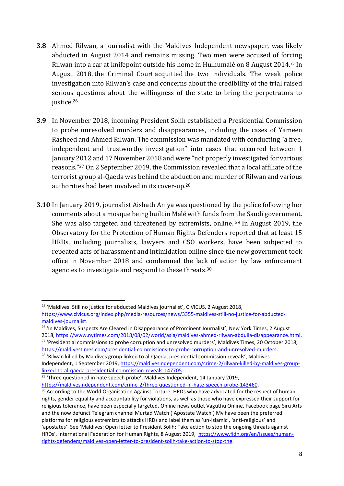- **3.8** Ahmed Rilwan, a journalist with the Maldives Independent newspaper, was likely abducted in August 2014 and remains missing. Two men were accused of forcing Rilwan into a car at knifepoint outside his home in Hulhumalé on 8 August 2014.<sup>25</sup> In August 2018, the Criminal Court acquitted the two individuals. The weak police investigation into Rilwan's case and concerns about the credibility of the trial raised serious questions about the willingness of the state to bring the perpetrators to justice.<sup>26</sup>
- **3.9** In November 2018, incoming President Solih established a Presidential Commission to probe unresolved murders and disappearances, including the cases of Yameen Rasheed and Ahmed Rilwan. The commission was mandated with conducting "a free, independent and trustworthy investigation" into cases that occurred between 1 January 2012 and 17 November 2018 and were "not properly investigated for various reasons."<sup>27</sup> On 2 September 2019, the Commission revealed that a local affiliate of the terrorist group al-Qaeda was behind the abduction and murder of Rilwan and various authorities had been involved in its cover-up.<sup>28</sup>
- **3.10** In January 2019, journalist Aishath Aniya was questioned by the police following her comments about a mosque being built in Malé with funds from the Saudi government. She was also targeted and threatened by extremists, online. <sup>29</sup> In August 2019, the Observatory for the Protection of Human Rights Defenders reported that at least 15 HRDs, including journalists, lawyers and CSO workers, have been subjected to repeated acts of harassment and intimidation online since the new government took office in November 2018 and condemned the lack of action by law enforcement agencies to investigate and respond to these threats.<sup>30</sup>

<sup>&</sup>lt;sup>25</sup> 'Maldives: Still no justice for abducted Maldives journalist', CIVICUS, 2 August 2018, [https://www.civicus.org/index.php/media-resources/news/3355-maldives-still-no-justice-for-abducted](https://www.civicus.org/index.php/media-resources/news/3355-maldives-still-no-justice-for-abducted-maldives-journalist)[maldives-journalist.](https://www.civicus.org/index.php/media-resources/news/3355-maldives-still-no-justice-for-abducted-maldives-journalist)

<sup>&</sup>lt;sup>26</sup> 'In Maldives, Suspects Are Cleared in Disappearance of Prominent Journalist', New York Times, 2 August 2018, [https://www.nytimes.com/2018/08/02/world/asia/maldives-ahmed-rilwan-abdulla-disappearance.html.](https://www.nytimes.com/2018/08/02/world/asia/maldives-ahmed-rilwan-abdulla-disappearance.html) <sup>27</sup> 'Presidential commissions to probe corruption and unresolved murders', Maldives Times, 20 October 2018, [https://maldivestimes.com/presidential-commissions-to-probe-corruption-and-unresolved-murders.](https://maldivestimes.com/presidential-commissions-to-probe-corruption-and-unresolved-murders/)

<sup>&</sup>lt;sup>28</sup> 'Rilwan killed by Maldives group linked to al-Qaeda, presidential commission reveals', Maldives Independent, 1 September 2019[, https://maldivesindependent.com/crime-2/rilwan-killed-by-maldives-group](https://maldivesindependent.com/crime-2/rilwan-killed-by-maldives-group-linked-to-al-qaeda-presidential-commission-reveals-147705)[linked-to-al-qaeda-presidential-commission-reveals-147705.](https://maldivesindependent.com/crime-2/rilwan-killed-by-maldives-group-linked-to-al-qaeda-presidential-commission-reveals-147705)

 $29$  'Three questioned in hate speech probe', Maldives Independent, 14 January 2019,

[https://maldivesindependent.com/crime-2/three-questioned-in-hate-speech-probe-143460.](https://maldivesindependent.com/crime-2/three-questioned-in-hate-speech-probe-143460)

<sup>&</sup>lt;sup>30</sup> According to the World Organisation Against Torture, HRDs who have advocated for the respect of human rights, gender equality and accountability for violations, as well as those who have expressed their support for religious tolerance, have been especially targeted. Online news outlet Vaguthu Online, Facebook page Siru Arts and the now defunct Telegram channel Murtad Watch ('Apostate Watch') Mv have been the preferred platforms for religious extremists to attacks HRDs and label them as 'un-Islamic', 'anti-religious' and 'apostates'. See 'Maldives: Open letter to President Solih: Take action to stop the ongoing threats against HRDs', International Federation for Human Rights, 8 August 2019, [https://www.fidh.org/en/issues/human](https://www.fidh.org/en/issues/human-rights-defenders/maldives-open-letter-to-president-solih-take-action-to-stop-the)[rights-defenders/maldives-open-letter-to-president-solih-take-action-to-stop-the.](https://www.fidh.org/en/issues/human-rights-defenders/maldives-open-letter-to-president-solih-take-action-to-stop-the)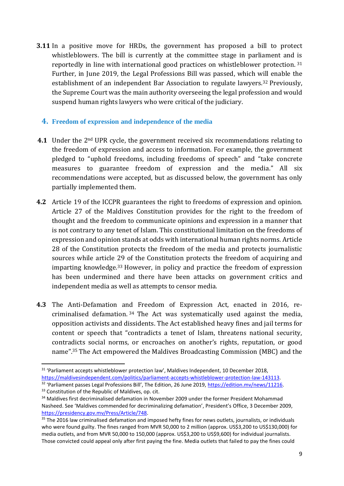**3.11** In a positive move for HRDs, the government has proposed a bill to protect whistleblowers. The bill is currently at the committee stage in parliament and is reportedly in line with international good practices on whistleblower protection. <sup>31</sup> Further, in June 2019, the Legal Professions Bill was passed, which will enable the establishment of an independent Bar Association to regulate lawyers.<sup>32</sup> Previously, the Supreme Court was the main authority overseeing the legal profession and would suspend human rights lawyers who were critical of the judiciary.

#### **4. Freedom of expression and independence of the media**

- **4.1** Under the 2nd UPR cycle, the government received six recommendations relating to the freedom of expression and access to information. For example, the government pledged to "uphold freedoms, including freedoms of speech" and "take concrete measures to guarantee freedom of expression and the media." All six recommendations were accepted, but as discussed below, the government has only partially implemented them.
- **4.2** Article 19 of the ICCPR guarantees the right to freedoms of expression and opinion. Article 27 of the Maldives Constitution provides for the right to the freedom of thought and the freedom to communicate opinions and expression in a manner that is not contrary to any tenet of Islam. This constitutional limitation on the freedoms of expression and opinion stands at odds with international human rights norms. Article 28 of the Constitution protects the freedom of the media and protects journalistic sources while article 29 of the Constitution protects the freedom of acquiring and imparting knowledge.<sup>33</sup> However, in policy and practice the freedom of expression has been undermined and there have been attacks on government critics and independent media as well as attempts to censor media.
- **4.3** The Anti-Defamation and Freedom of Expression Act, enacted in 2016, recriminalised defamation. <sup>34</sup> The Act was systematically used against the media, opposition activists and dissidents. The Act established heavy fines and jail terms for content or speech that "contradicts a tenet of Islam, threatens national security, contradicts social norms, or encroaches on another's rights, reputation, or good name".<sup>35</sup> The Act empowered the Maldives Broadcasting Commission (MBC) and the

 $\overline{a}$ 

<sup>&</sup>lt;sup>31</sup> 'Parliament accepts whistleblower protection law', Maldives Independent, 10 December 2018, [https://maldivesindependent.com/politics/parliament-accepts-whistleblower-protection-law-143113.](https://maldivesindependent.com/politics/parliament-accepts-whistleblower-protection-law-143113)

<sup>&</sup>lt;sup>32</sup> 'Parliament passes Legal Professions Bill', The Edition, 26 June 2019, [https://edition.mv/news/11216.](https://edition.mv/news/11216)

<sup>&</sup>lt;sup>33</sup> Constitution of the Republic of Maldives, op. cit.

<sup>&</sup>lt;sup>34</sup> Maldives first decriminalised defamation in November 2009 under the former President Mohammad Nasheed. See 'Maldives commended for decriminalizing defamation', President's Office, 3 December 2009, [https://presidency.gov.mv/Press/Article/748.](https://presidency.gov.mv/Press/Article/748)

<sup>&</sup>lt;sup>35</sup> The 2016 law criminalised defamation and imposed hefty fines for news outlets, journalists, or individuals who were found guilty. The fines ranged from MVR 50,000 to 2 million (approx. US\$3,200 to US\$130,000) for media outlets, and from MVR 50,000 to 150,000 (approx. US\$3,200 to US\$9,600) for individual journalists. Those convicted could appeal only after first paying the fine. Media outlets that failed to pay the fines could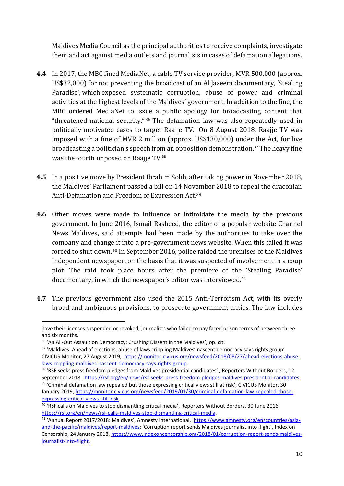Maldives Media Council as the principal authorities to receive complaints, investigate them and act against media outlets and journalists in cases of defamation allegations.

- **4.4** In 2017, the MBC fined MediaNet, a cable TV service provider, MVR 500,000 (approx. US\$32,000) for not preventing the broadcast of an Al Jazeera documentary, 'Stealing Paradise', which exposed systematic corruption, abuse of power and criminal activities at the highest levels of the Maldives' government. In addition to the fine, the MBC ordered MediaNet to issue a public apology for broadcasting content that "threatened national security."<sup>36</sup> The defamation law was also repeatedly used in politically motivated cases to target Raajje TV. On 8 August 2018, Raajje TV was imposed with a fine of MVR 2 million (approx. US\$130,000) under the Act, for live broadcasting a politician's speech from an opposition demonstration.<sup>37</sup> The heavy fine was the fourth imposed on Raajje TV.<sup>38</sup>
- **4.5** In a positive move by President Ibrahim Solih, after taking power in November 2018, the Maldives' Parliament passed a bill on 14 November 2018 to repeal the draconian Anti-Defamation and Freedom of Expression Act.<sup>39</sup>
- **4.6** Other moves were made to influence or intimidate the media by the previous government. In June 2016, Ismail Rasheed, the editor of a popular website Channel News Maldives, said attempts had been made by the authorities to take over the company and change it into a pro-government news website. When this failed it was forced to shut down.<sup>40</sup> In September 2016, police raided the premises of the Maldives Independent newspaper, on the basis that it was suspected of involvement in a coup plot. The raid took place hours after the premiere of the 'Stealing Paradise' documentary, in which the newspaper's editor was interviewed.<sup>41</sup>
- **4.7** The previous government also used the 2015 Anti-Terrorism Act, with its overly broad and ambiguous provisions, to prosecute government critics. The law includes

have their licenses suspended or revoked; journalists who failed to pay faced prison terms of between three and six months.

<sup>&</sup>lt;sup>36</sup> 'An All-Out Assault on Democracy: Crushing Dissent in the Maldives', op. cit.

<sup>&</sup>lt;sup>37</sup> 'Maldives: Ahead of elections, abuse of laws crippling Maldives' nascent democracy says rights group' CIVICUS Monitor, 27 August 2019, [https://monitor.civicus.org/newsfeed/2018/08/27/ahead-elections-abuse](https://monitor.civicus.org/newsfeed/2018/08/27/ahead-elections-abuse-laws-crippling-maldives-nascent-democracy-says-rights-group/)[laws-crippling-maldives-nascent-democracy-says-rights-group.](https://monitor.civicus.org/newsfeed/2018/08/27/ahead-elections-abuse-laws-crippling-maldives-nascent-democracy-says-rights-group/)

<sup>&</sup>lt;sup>38</sup> 'RSF seeks press freedom pledges from Maldives presidential candidates', Reporters Without Borders, 12 September 2018, [https://rsf.org/en/news/rsf-seeks-press-freedom-pledges-maldives-presidential-candidates.](https://rsf.org/en/news/rsf-seeks-press-freedom-pledges-maldives-presidential-candidates) <sup>39</sup> 'Criminal defamation law repealed but those expressing critical views still at risk', CIVICUS Monitor, 30

January 2019[, https://monitor.civicus.org/newsfeed/2019/01/30/criminal-defamation-law-repealed-those](https://monitor.civicus.org/newsfeed/2019/01/30/criminal-defamation-law-repealed-those-expressing-critical-views-still-risk/)[expressing-critical-views-still-risk.](https://monitor.civicus.org/newsfeed/2019/01/30/criminal-defamation-law-repealed-those-expressing-critical-views-still-risk/)

<sup>&</sup>lt;sup>40</sup> 'RSF calls on Maldives to stop dismantling critical media', Reporters Without Borders, 30 June 2016, [https://rsf.org/en/news/rsf-calls-maldives-stop-dismantling-critical-media.](https://rsf.org/en/news/rsf-calls-maldives-stop-dismantling-critical-media)

<sup>41</sup> 'Annual Report 2017/2018: Maldives', Amnesty International, [https://www.amnesty.org/en/countries/asia](https://www.amnesty.org/en/countries/asia-and-the-pacific/maldives/report-maldives/)[and-the-pacific/maldives/report-maldives;](https://www.amnesty.org/en/countries/asia-and-the-pacific/maldives/report-maldives/) 'Corruption report sends Maldives journalist into flight', Index on Censorship, 24 January 2018[, https://www.indexoncensorship.org/2018/01/corruption-report-sends-maldives](https://www.indexoncensorship.org/2018/01/corruption-report-sends-maldives-journalist-into-flight/)[journalist-into-flight.](https://www.indexoncensorship.org/2018/01/corruption-report-sends-maldives-journalist-into-flight/)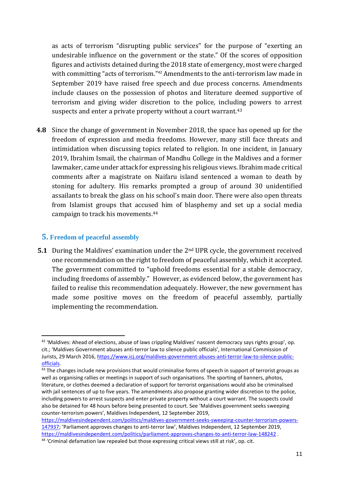as acts of terrorism "disrupting public services" for the purpose of "exerting an undesirable influence on the government or the state." Of the scores of opposition figures and activists detained during the 2018 state of emergency, most were charged with committing "acts of terrorism."<sup>42</sup> Amendments to the anti-terrorism law made in September 2019 have raised free speech and due process concerns. Amendments include clauses on the possession of photos and literature deemed supportive of terrorism and giving wider discretion to the police, including powers to arrest suspects and enter a private property without a court warrant.<sup>43</sup>

**4.8** Since the change of government in November 2018, the space has opened up for the freedom of expression and media freedoms. However, many still face threats and intimidation when discussing topics related to religion. In one incident, in January 2019, Ibrahim Ismail, the chairman of Mandhu College in the Maldives and a former lawmaker, came under attack for expressing his religious views. Ibrahim made critical comments after a magistrate on Naifaru island sentenced a woman to death by stoning for adultery. His remarks prompted a group of around 30 unidentified assailants to break the glass on his school's main door. There were also open threats from Islamist groups that accused him of blasphemy and set up a social media campaign to track his movements.<sup>44</sup>

#### **5. Freedom of peaceful assembly**

1

**5.1** During the Maldives' examination under the 2nd UPR cycle, the government received one recommendation on the right to freedom of peaceful assembly, which it accepted. The government committed to "uphold freedoms essential for a stable democracy, including freedoms of assembly." However, as evidenced below, the government has failed to realise this recommendation adequately. However, the new government has made some positive moves on the freedom of peaceful assembly, partially implementing the recommendation.

<sup>42</sup> 'Maldives: Ahead of elections, abuse of laws crippling Maldives' nascent democracy says rights group', op. cit.; 'Maldives Government abuses anti-terror law to silence public officials', International Commission of Jurists, 29 March 2016, [https://www.icj.org/maldives-government-abuses-anti-terror-law-to-silence-public](https://www.icj.org/maldives-government-abuses-anti-terror-law-to-silence-public-officials/)[officials.](https://www.icj.org/maldives-government-abuses-anti-terror-law-to-silence-public-officials/)

<sup>&</sup>lt;sup>43</sup> The changes include new provisions that would criminalise forms of speech in support of terrorist groups as well as organising rallies or meetings in support of such organisations. The sporting of banners, photos, literature, or clothes deemed a declaration of support for terrorist organisations would also be criminalised with jail sentences of up to five years. The amendments also propose granting wider discretion to the police, including powers to arrest suspects and enter private property without a court warrant. The suspects could also be detained for 48 hours before being presented to court. See 'Maldives government seeks sweeping counter-terrorism powers', Maldives Independent, 12 September 2019,

[https://maldivesindependent.com/politics/maldives-government-seeks-sweeping-counter-terrorism-powers-](https://maldivesindependent.com/politics/maldives-government-seeks-sweeping-counter-terrorism-powers-147937)[147937;](https://maldivesindependent.com/politics/maldives-government-seeks-sweeping-counter-terrorism-powers-147937) 'Parliament approves changes to anti-terror law', Maldives Independent, 12 September 2019, <https://maldivesindependent.com/politics/parliament-approves-changes-to-anti-terror-law-148242> .

<sup>44</sup> 'Criminal defamation law repealed but those expressing critical views still at risk', op. cit.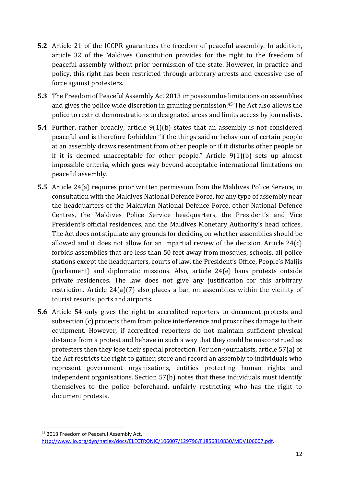- **5.2** Article 21 of the ICCPR guarantees the freedom of peaceful assembly. In addition, article 32 of the Maldives Constitution provides for the right to the freedom of peaceful assembly without prior permission of the state. However, in practice and policy, this right has been restricted through arbitrary arrests and excessive use of force against protesters.
- **5.3** The Freedom of Peaceful Assembly Act 2013 imposes undue limitations on assemblies and gives the police wide discretion in granting permission. <sup>45</sup> The Act also allows the police to restrict demonstrations to designated areas and limits access by journalists.
- **5.4** Further, rather broadly, article 9(1)(b) states that an assembly is not considered peaceful and is therefore forbidden "if the things said or behaviour of certain people at an assembly draws resentment from other people or if it disturbs other people or if it is deemed unacceptable for other people." Article 9(1)(b) sets up almost impossible criteria, which goes way beyond acceptable international limitations on peaceful assembly.
- **5.5** Article 24(a) requires prior written permission from the Maldives Police Service, in consultation with the Maldives National Defence Force, for any type of assembly near the headquarters of the Maldivian National Defence Force, other National Defence Centres, the Maldives Police Service headquarters, the President's and Vice President's official residences, and the Maldives Monetary Authority's head offices. The Act does not stipulate any grounds for deciding on whether assemblies should be allowed and it does not allow for an impartial review of the decision. Article 24(c) forbids assemblies that are less than 50 feet away from mosques, schools, all police stations except the headquarters, courts of law, the President's Office, People's Maljis (parliament) and diplomatic missions. Also, article 24(e) bans protests outside private residences. The law does not give any justification for this arbitrary restriction. Article 24(a)(7) also places a ban on assemblies within the vicinity of tourist resorts, ports and airports.
- **5.6** Article 54 only gives the right to accredited reporters to document protests and subsection (c) protects them from police interference and proscribes damage to their equipment. However, if accredited reporters do not maintain sufficient physical distance from a protest and behave in such a way that they could be misconstrued as protesters then they lose their special protection. For non-journalists, article 57(a) of the Act restricts the right to gather, store and record an assembly to individuals who represent government organisations, entities protecting human rights and independent organisations. Section 57(b) notes that these individuals must identify themselves to the police beforehand, unfairly restricting who has the right to document protests.

 $\overline{a}$ 

<sup>45</sup> 2013 Freedom of Peaceful Assembly Act, [http://www.ilo.org/dyn/natlex/docs/ELECTRONIC/106007/129796/F1856810830/MDV106007.pdf.](http://www.ilo.org/dyn/natlex/docs/ELECTRONIC/106007/129796/F1856810830/MDV106007.pdf)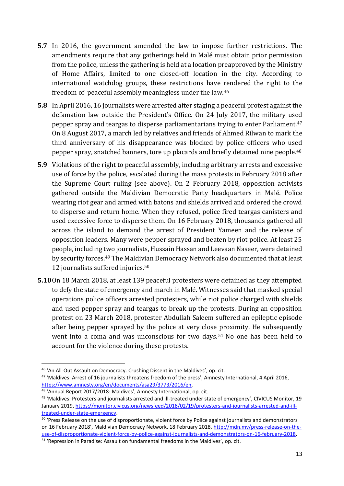- **5.7** In 2016, the government amended the law to impose further restrictions. The amendments require that any gatherings held in Malé must obtain prior permission from the police, unless the gathering is held at a location preapproved by the Ministry of Home Affairs, limited to one closed-off location in the city. According to international watchdog groups, these restrictions have rendered the right to the freedom of peaceful assembly meaningless under the law. 46
- **5.8** In April 2016, 16 journalists were arrested after staging a peaceful protest against the defamation law outside the President's Office. On 24 July 2017, the military used pepper spray and teargas to disperse parliamentarians trying to enter Parliament.<sup>47</sup> On 8 August 2017, a march led by relatives and friends of Ahmed Rilwan to mark the third anniversary of his disappearance was blocked by police officers who used pepper spray, snatched banners, tore up placards and briefly detained nine people.<sup>48</sup>
- **5.9** Violations of the right to peaceful assembly, including arbitrary arrests and excessive use of force by the police, escalated during the mass protests in February 2018 after the Supreme Court ruling (see above). On 2 February 2018, opposition activists gathered outside the Maldivian Democratic Party headquarters in Malé. Police wearing riot gear and armed with batons and shields arrived and ordered the crowd to disperse and return home. When they refused, police fired teargas canisters and used excessive force to disperse them. On 16 February 2018, thousands gathered all across the island to demand the arrest of President Yameen and the release of opposition leaders. Many were pepper sprayed and beaten by riot police. At least 25 people, including two journalists, Hussain Hassan and Leevaan Naseer, were detained by security forces.<sup>49</sup> The Maldivian Democracy Network also documented that at least 12 journalists suffered injuries.<sup>50</sup>
- **5.10**On 18 March 2018, at least 139 peaceful protesters were detained as they attempted to defy the state of emergency and march in Malé. Witnesses said that masked special operations police officers arrested protesters, while riot police charged with shields and used pepper spray and teargas to break up the protests. During an opposition protest on 23 March 2018, protester Abdullah Saleem suffered an epileptic episode after being pepper sprayed by the police at very close proximity. He subsequently went into a coma and was unconscious for two days. <sup>51</sup> No one has been held to account for the violence during these protests.

 $\overline{a}$ 

<sup>46</sup> 'An All-Out Assault on Democracy: Crushing Dissent in the Maldives', op. cit.

<sup>47</sup> 'Maldives: Arrest of 16 journalists threatens freedom of the press', Amnesty International, 4 April 2016, [https://www.amnesty.org/en/documents/asa29/3773/2016/en.](https://www.amnesty.org/en/documents/asa29/3773/2016/en/)

<sup>48</sup> 'Annual Report 2017/2018: Maldives', Amnesty International, op. cit.

<sup>&</sup>lt;sup>49</sup> 'Maldives: Protesters and journalists arrested and ill-treated under state of emergency', CIVICUS Monitor, 19 January 2019[, https://monitor.civicus.org/newsfeed/2018/02/19/protesters-and-journalists-arrested-and-ill](https://monitor.civicus.org/newsfeed/2018/02/19/protesters-and-journalists-arrested-and-ill-treated-under-state-emergency/)[treated-under-state-emergency.](https://monitor.civicus.org/newsfeed/2018/02/19/protesters-and-journalists-arrested-and-ill-treated-under-state-emergency/)

<sup>&</sup>lt;sup>50</sup> 'Press Release on the use of disproportionate, violent force by Police against journalists and demonstrators on 16 February 2018', Maldivian Democracy Network, 18 February 2018, [http://mdn.mv/press-release-on-the](http://mdn.mv/press-release-on-the-use-of-disproportionate-violent-force-by-police-against-journalists-and-demonstrators-on-16-february-2018/)[use-of-disproportionate-violent-force-by-police-against-journalists-and-demonstrators-on-16-february-2018.](http://mdn.mv/press-release-on-the-use-of-disproportionate-violent-force-by-police-against-journalists-and-demonstrators-on-16-february-2018/)

<sup>&</sup>lt;sup>51</sup> 'Repression in Paradise: Assault on fundamental freedoms in the Maldives', op. cit.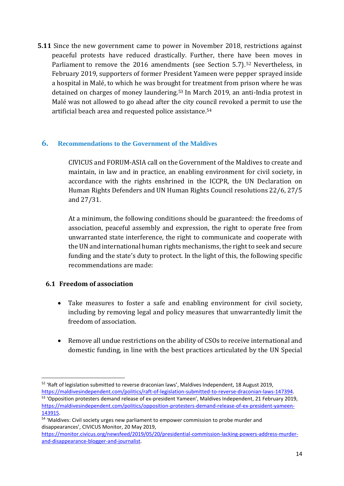**5.11** Since the new government came to power in November 2018, restrictions against peaceful protests have reduced drastically. Further, there have been moves in Parliament to remove the 2016 amendments (see Section 5.7). <sup>52</sup> Nevertheless, in February 2019, supporters of former President Yameen were pepper sprayed inside a hospital in Malé, to which he was brought for treatment from prison where he was detained on charges of money laundering.<sup>53</sup> In March 2019, an anti-India protest in Malé was not allowed to go ahead after the city council revoked a permit to use the artificial beach area and requested police assistance.<sup>54</sup>

#### **6. Recommendations to the Government of the Maldives**

CIVICUS and FORUM-ASIA call on the Government of the Maldives to create and maintain, in law and in practice, an enabling environment for civil society, in accordance with the rights enshrined in the ICCPR, the UN Declaration on Human Rights Defenders and UN Human Rights Council resolutions 22/6, 27/5 and 27/31.

At a minimum, the following conditions should be guaranteed: the freedoms of association, peaceful assembly and expression, the right to operate free from unwarranted state interference, the right to communicate and cooperate with the UN and international human rights mechanisms, the right to seek and secure funding and the state's duty to protect. In the light of this, the following specific recommendations are made:

#### **6.1 Freedom of association**

- Take measures to foster a safe and enabling environment for civil society, including by removing legal and policy measures that unwarrantedly limit the freedom of association.
- Remove all undue restrictions on the ability of CSOs to receive international and domestic funding, in line with the best practices articulated by the UN Special

 $\overline{a}$  $52$  'Raft of legislation submitted to reverse draconian laws', Maldives Independent, 18 August 2019, [https://maldivesindependent.com/politics/raft-of-legislation-submitted-to-reverse-draconian-laws-147394.](https://maldivesindependent.com/politics/raft-of-legislation-submitted-to-reverse-draconian-laws-147394)

<sup>53</sup> 'Opposition protesters demand release of ex-president Yameen', Maldives Independent, 21 February 2019, [https://maldivesindependent.com/politics/opposition-protesters-demand-release-of-ex-president-yameen-](https://maldivesindependent.com/politics/opposition-protesters-demand-release-of-ex-president-yameen-143915)[143915.](https://maldivesindependent.com/politics/opposition-protesters-demand-release-of-ex-president-yameen-143915)

<sup>&</sup>lt;sup>54</sup> 'Maldives: Civil society urges new parliament to empower commission to probe murder and disappearances', CIVICUS Monitor, 20 May 2019,

[https://monitor.civicus.org/newsfeed/2019/05/20/presidential-commission-lacking-powers-address-murder](https://monitor.civicus.org/newsfeed/2019/05/20/presidential-commission-lacking-powers-address-murder-and-disappearance-blogger-and-journalist/)[and-disappearance-blogger-and-journalist.](https://monitor.civicus.org/newsfeed/2019/05/20/presidential-commission-lacking-powers-address-murder-and-disappearance-blogger-and-journalist/)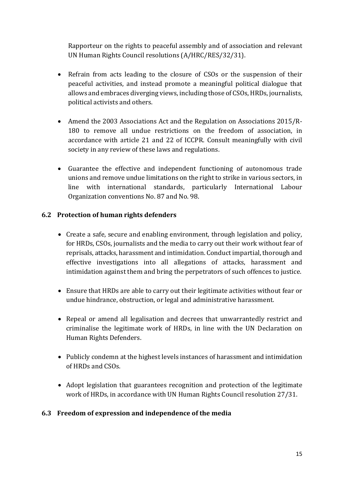Rapporteur on the rights to peaceful assembly and of association and relevant UN Human Rights Council resolutions (A/HRC/RES/32/31).

- Refrain from acts leading to the closure of CSOs or the suspension of their peaceful activities, and instead promote a meaningful political dialogue that allows and embraces diverging views, including those of CSOs, HRDs, journalists, political activists and others.
- Amend the 2003 Associations Act and the Regulation on Associations 2015/R-180 to remove all undue restrictions on the freedom of association, in accordance with article 21 and 22 of ICCPR. Consult meaningfully with civil society in any review of these laws and regulations.
- Guarantee the effective and independent functioning of autonomous trade unions and remove undue limitations on the right to strike in various sectors, in line with international standards, particularly International Labour Organization conventions No. 87 and No. 98.

#### **6.2 Protection of human rights defenders**

- Create a safe, secure and enabling environment, through legislation and policy, for HRDs, CSOs, journalists and the media to carry out their work without fear of reprisals, attacks, harassment and intimidation. Conduct impartial, thorough and effective investigations into all allegations of attacks, harassment and intimidation against them and bring the perpetrators of such offences to justice.
- Ensure that HRDs are able to carry out their legitimate activities without fear or undue hindrance, obstruction, or legal and administrative harassment.
- Repeal or amend all legalisation and decrees that unwarrantedly restrict and criminalise the legitimate work of HRDs, in line with the UN Declaration on Human Rights Defenders.
- Publicly condemn at the highest levels instances of harassment and intimidation of HRDs and CSOs.
- Adopt legislation that guarantees recognition and protection of the legitimate work of HRDs, in accordance with UN Human Rights Council resolution 27/31.

#### **6.3 Freedom of expression and independence of the media**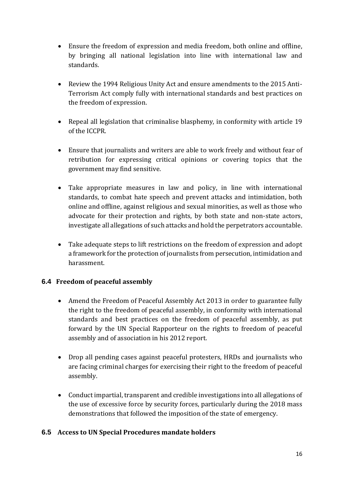- Ensure the freedom of expression and media freedom, both online and offline, by bringing all national legislation into line with international law and standards.
- Review the 1994 Religious Unity Act and ensure amendments to the 2015 Anti-Terrorism Act comply fully with international standards and best practices on the freedom of expression.
- Repeal all legislation that criminalise blasphemy, in conformity with article 19 of the ICCPR.
- Ensure that journalists and writers are able to work freely and without fear of retribution for expressing critical opinions or covering topics that the government may find sensitive.
- Take appropriate measures in law and policy, in line with international standards, to combat hate speech and prevent attacks and intimidation, both online and offline, against religious and sexual minorities, as well as those who advocate for their protection and rights, by both state and non-state actors, investigate all allegations of such attacks and hold the perpetrators accountable.
- Take adequate steps to lift restrictions on the freedom of expression and adopt a framework for the protection of journalists from persecution, intimidation and harassment.

#### **6.4 Freedom of peaceful assembly**

- Amend the Freedom of Peaceful Assembly Act 2013 in order to guarantee fully the right to the freedom of peaceful assembly, in conformity with international standards and best practices on the freedom of peaceful assembly, as put forward by the UN Special Rapporteur on the rights to freedom of peaceful assembly and of association in his 2012 report.
- Drop all pending cases against peaceful protesters, HRDs and journalists who are facing criminal charges for exercising their right to the freedom of peaceful assembly.
- Conduct impartial, transparent and credible investigations into all allegations of the use of excessive force by security forces, particularly during the 2018 mass demonstrations that followed the imposition of the state of emergency.

#### **6.5 Access to UN Special Procedures mandate holders**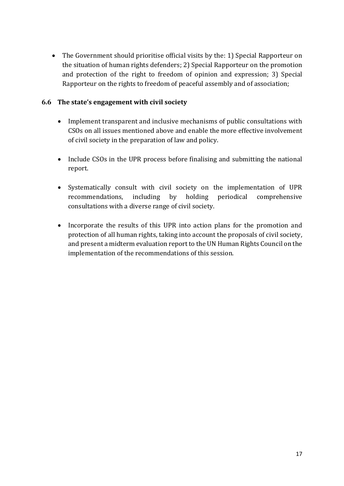• The Government should prioritise official visits by the: 1) Special Rapporteur on the situation of human rights defenders; 2) Special Rapporteur on the promotion and protection of the right to freedom of opinion and expression; 3) Special Rapporteur on the rights to freedom of peaceful assembly and of association;

#### **6.6 The state's engagement with civil society**

- Implement transparent and inclusive mechanisms of public consultations with CSOs on all issues mentioned above and enable the more effective involvement of civil society in the preparation of law and policy.
- Include CSOs in the UPR process before finalising and submitting the national report.
- Systematically consult with civil society on the implementation of UPR recommendations, including by holding periodical comprehensive consultations with a diverse range of civil society.
- Incorporate the results of this UPR into action plans for the promotion and protection of all human rights, taking into account the proposals of civil society, and present a midterm evaluation report to the UN Human Rights Council on the implementation of the recommendations of this session.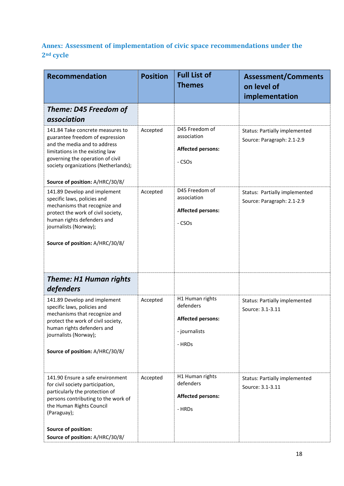## **Annex: Assessment of implementation of civic space recommendations under the 2nd cycle**

| <b>Recommendation</b>                                                                                                                                                                                                                                 | <b>Position</b> | <b>Full List of</b><br><b>Themes</b>                                                | <b>Assessment/Comments</b><br>on level of<br>implementation        |
|-------------------------------------------------------------------------------------------------------------------------------------------------------------------------------------------------------------------------------------------------------|-----------------|-------------------------------------------------------------------------------------|--------------------------------------------------------------------|
| Theme: D45 Freedom of<br>association                                                                                                                                                                                                                  |                 |                                                                                     |                                                                    |
| 141.84 Take concrete measures to<br>guarantee freedom of expression<br>and the media and to address<br>limitations in the existing law<br>governing the operation of civil<br>society organizations (Netherlands);<br>Source of position: A/HRC/30/8/ | Accepted        | D45 Freedom of<br>association<br><b>Affected persons:</b><br>- CSOs                 | <b>Status: Partially implemented</b><br>Source: Paragraph: 2.1-2.9 |
| 141.89 Develop and implement<br>specific laws, policies and<br>mechanisms that recognize and<br>protect the work of civil society,<br>human rights defenders and<br>journalists (Norway);<br>Source of position: A/HRC/30/8/                          | Accepted        | D45 Freedom of<br>association<br><b>Affected persons:</b><br>- CSO <sub>S</sub>     | Status: Partially implemented<br>Source: Paragraph: 2.1-2.9        |
| <b>Theme: H1 Human rights</b><br>defenders                                                                                                                                                                                                            |                 |                                                                                     |                                                                    |
| 141.89 Develop and implement<br>specific laws, policies and<br>mechanisms that recognize and<br>protect the work of civil society,<br>human rights defenders and<br>journalists (Norway);<br>Source of position: A/HRC/30/8/                          | Accepted        | H1 Human rights<br>defenders<br><b>Affected persons:</b><br>- journalists<br>- HRDs | Status: Partially implemented<br>Source: 3.1-3.11                  |
| 141.90 Ensure a safe environment<br>for civil society participation,<br>particularly the protection of<br>persons contributing to the work of<br>the Human Rights Council<br>(Paraguay);                                                              | Accepted        | H1 Human rights<br>defenders<br><b>Affected persons:</b><br>- HRDs                  | <b>Status: Partially implemented</b><br>Source: 3.1-3.11           |
| Source of position:<br>Source of position: A/HRC/30/8/                                                                                                                                                                                                |                 |                                                                                     |                                                                    |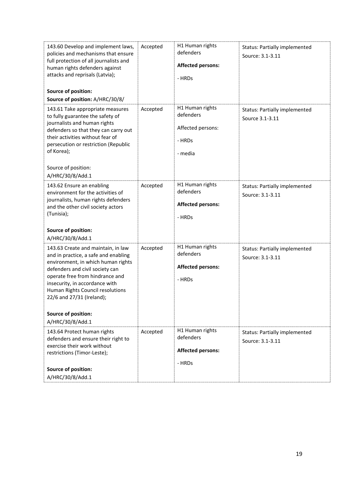| 143.60 Develop and implement laws,<br>policies and mechanisms that ensure<br>full protection of all journalists and<br>human rights defenders against<br>attacks and reprisals (Latvia);<br>Source of position:<br>Source of position: A/HRC/30/8/                                                                                   | Accepted | H1 Human rights<br>defenders<br><b>Affected persons:</b><br>- HRDs     | <b>Status: Partially implemented</b><br>Source: 3.1-3.11 |
|--------------------------------------------------------------------------------------------------------------------------------------------------------------------------------------------------------------------------------------------------------------------------------------------------------------------------------------|----------|------------------------------------------------------------------------|----------------------------------------------------------|
| 143.61 Take appropriate measures<br>to fully guarantee the safety of<br>journalists and human rights<br>defenders so that they can carry out<br>their activities without fear of<br>persecution or restriction (Republic<br>of Korea);<br>Source of position:<br>A/HRC/30/8/Add.1                                                    | Accepted | H1 Human rights<br>defenders<br>Affected persons:<br>- HRDs<br>- media | Status: Partially implemented<br>Source 3.1-3.11         |
| 143.62 Ensure an enabling<br>environment for the activities of<br>journalists, human rights defenders<br>and the other civil society actors<br>(Tunisia);<br>Source of position:<br>A/HRC/30/8/Add.1                                                                                                                                 | Accepted | H1 Human rights<br>defenders<br><b>Affected persons:</b><br>- HRDs     | <b>Status: Partially implemented</b><br>Source: 3.1-3.11 |
| 143.63 Create and maintain, in law<br>and in practice, a safe and enabling<br>environment, in which human rights<br>defenders and civil society can<br>operate free from hindrance and<br>insecurity, in accordance with<br>Human Rights Council resolutions<br>22/6 and 27/31 (Ireland);<br>Source of position:<br>A/HRC/30/8/Add.1 | Accepted | H1 Human rights<br>defenders<br><b>Affected persons:</b><br>- HRDs     | <b>Status: Partially implemented</b><br>Source: 3.1-3.11 |
| 143.64 Protect human rights<br>defenders and ensure their right to<br>exercise their work without<br>restrictions (Timor-Leste);<br>Source of position:<br>A/HRC/30/8/Add.1                                                                                                                                                          | Accepted | H1 Human rights<br>defenders<br><b>Affected persons:</b><br>- HRDs     | <b>Status: Partially implemented</b><br>Source: 3.1-3.11 |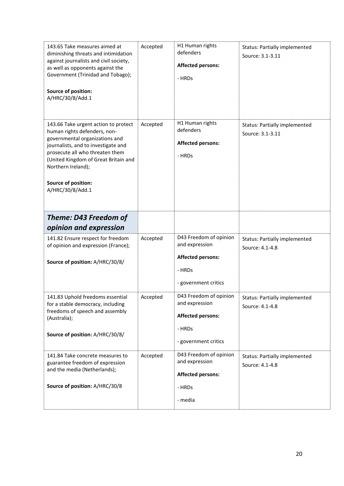| 143.65 Take measures aimed at<br>diminishing threats and intimidation<br>against journalists and civil society,<br>as well as opponents against the<br>Government (Trinidad and Tobago);<br>Source of position:<br>A/HRC/30/8/Add.1                                                       | Accepted | H1 Human rights<br>defenders<br><b>Affected persons:</b><br>- HRDs                                     | <b>Status: Partially implemented</b><br>Source: 3.1-3.11 |
|-------------------------------------------------------------------------------------------------------------------------------------------------------------------------------------------------------------------------------------------------------------------------------------------|----------|--------------------------------------------------------------------------------------------------------|----------------------------------------------------------|
| 143.66 Take urgent action to protect<br>human rights defenders, non-<br>governmental organizations and<br>journalists, and to investigate and<br>prosecute all who threaten them<br>(United Kingdom of Great Britain and<br>Northern Ireland);<br>Source of position:<br>A/HRC/30/8/Add.1 | Accepted | H1 Human rights<br>defenders<br><b>Affected persons:</b><br>- HRDs                                     | <b>Status: Partially implemented</b><br>Source: 3.1-3.11 |
| Theme: D43 Freedom of<br>opinion and expression                                                                                                                                                                                                                                           |          |                                                                                                        |                                                          |
| 141.82 Ensure respect for freedom<br>of opinion and expression (France);<br>Source of position: A/HRC/30/8/                                                                                                                                                                               | Accepted | D43 Freedom of opinion<br>and expression<br><b>Affected persons:</b><br>- HRDs<br>- government critics | <b>Status: Partially implemented</b><br>Source: 4.1-4.8  |
| 141.83 Uphold freedoms essential<br>for a stable democracy, including<br>freedoms of speech and assembly<br>(Australia);<br>Source of position: A/HRC/30/8/                                                                                                                               | Accepted | D43 Freedom of opinion<br>and expression<br><b>Affected persons:</b><br>- HRDs<br>- government critics | <b>Status: Partially implemented</b><br>Source: 4.1-4.8  |
| 141.84 Take concrete measures to<br>guarantee freedom of expression<br>and the media (Netherlands);<br>Source of position: A/HRC/30/8                                                                                                                                                     | Accepted | D43 Freedom of opinion<br>and expression<br><b>Affected persons:</b><br>- HRDs<br>- media              | <b>Status: Partially implemented</b><br>Source: 4.1-4.8  |